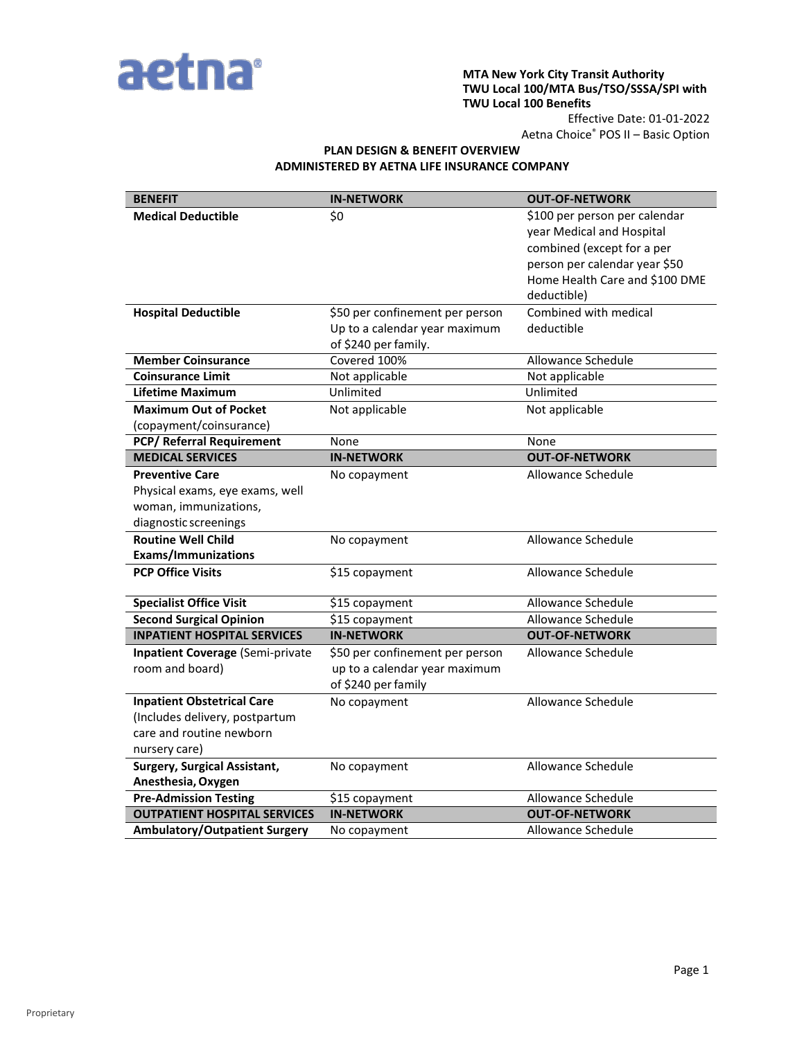

#### **MTA New York City Transit Authority TWU Local 100/MTA Bus/TSO/SSSA/SPI with TWU Local 100 Benefits**

Effective Date: 01-01-2022 Aetna Choice® POS II – Basic Option

# **PLAN DESIGN & BENEFIT OVERVIEW ADMINISTERED BY AETNA LIFE INSURANCE COMPANY**

| <b>BENEFIT</b>                                                                                                   | <b>IN-NETWORK</b>                                                                        | <b>OUT-OF-NETWORK</b>                                                                                                                                                      |
|------------------------------------------------------------------------------------------------------------------|------------------------------------------------------------------------------------------|----------------------------------------------------------------------------------------------------------------------------------------------------------------------------|
| <b>Medical Deductible</b>                                                                                        | \$0                                                                                      | \$100 per person per calendar<br>year Medical and Hospital<br>combined (except for a per<br>person per calendar year \$50<br>Home Health Care and \$100 DME<br>deductible) |
| <b>Hospital Deductible</b>                                                                                       | \$50 per confinement per person<br>Up to a calendar year maximum<br>of \$240 per family. | Combined with medical<br>deductible                                                                                                                                        |
| <b>Member Coinsurance</b>                                                                                        | Covered 100%                                                                             | <b>Allowance Schedule</b>                                                                                                                                                  |
| <b>Coinsurance Limit</b>                                                                                         | Not applicable                                                                           | Not applicable                                                                                                                                                             |
| <b>Lifetime Maximum</b>                                                                                          | Unlimited                                                                                | Unlimited                                                                                                                                                                  |
| <b>Maximum Out of Pocket</b><br>(copayment/coinsurance)                                                          | Not applicable                                                                           | Not applicable                                                                                                                                                             |
| <b>PCP/ Referral Requirement</b>                                                                                 | None                                                                                     | None                                                                                                                                                                       |
| <b>MEDICAL SERVICES</b>                                                                                          | <b>IN-NETWORK</b>                                                                        | <b>OUT-OF-NETWORK</b>                                                                                                                                                      |
| <b>Preventive Care</b><br>Physical exams, eye exams, well<br>woman, immunizations,<br>diagnostic screenings      | No copayment                                                                             | Allowance Schedule                                                                                                                                                         |
| <b>Routine Well Child</b><br><b>Exams/Immunizations</b>                                                          | No copayment                                                                             | Allowance Schedule                                                                                                                                                         |
| <b>PCP Office Visits</b>                                                                                         | \$15 copayment                                                                           | Allowance Schedule                                                                                                                                                         |
| <b>Specialist Office Visit</b>                                                                                   | \$15 copayment                                                                           | Allowance Schedule                                                                                                                                                         |
| <b>Second Surgical Opinion</b>                                                                                   | \$15 copayment                                                                           | Allowance Schedule                                                                                                                                                         |
| <b>INPATIENT HOSPITAL SERVICES</b>                                                                               | <b>IN-NETWORK</b>                                                                        | <b>OUT-OF-NETWORK</b>                                                                                                                                                      |
| <b>Inpatient Coverage (Semi-private</b><br>room and board)                                                       | \$50 per confinement per person<br>up to a calendar year maximum<br>of \$240 per family  | Allowance Schedule                                                                                                                                                         |
| <b>Inpatient Obstetrical Care</b><br>(Includes delivery, postpartum<br>care and routine newborn<br>nursery care) | No copayment                                                                             | Allowance Schedule                                                                                                                                                         |
| <b>Surgery, Surgical Assistant,</b><br>Anesthesia, Oxygen                                                        | No copayment                                                                             | Allowance Schedule                                                                                                                                                         |
| <b>Pre-Admission Testing</b>                                                                                     | \$15 copayment                                                                           | Allowance Schedule                                                                                                                                                         |
| <b>OUTPATIENT HOSPITAL SERVICES</b>                                                                              | <b>IN-NETWORK</b>                                                                        | <b>OUT-OF-NETWORK</b>                                                                                                                                                      |
| <b>Ambulatory/Outpatient Surgery</b>                                                                             | No copayment                                                                             | Allowance Schedule                                                                                                                                                         |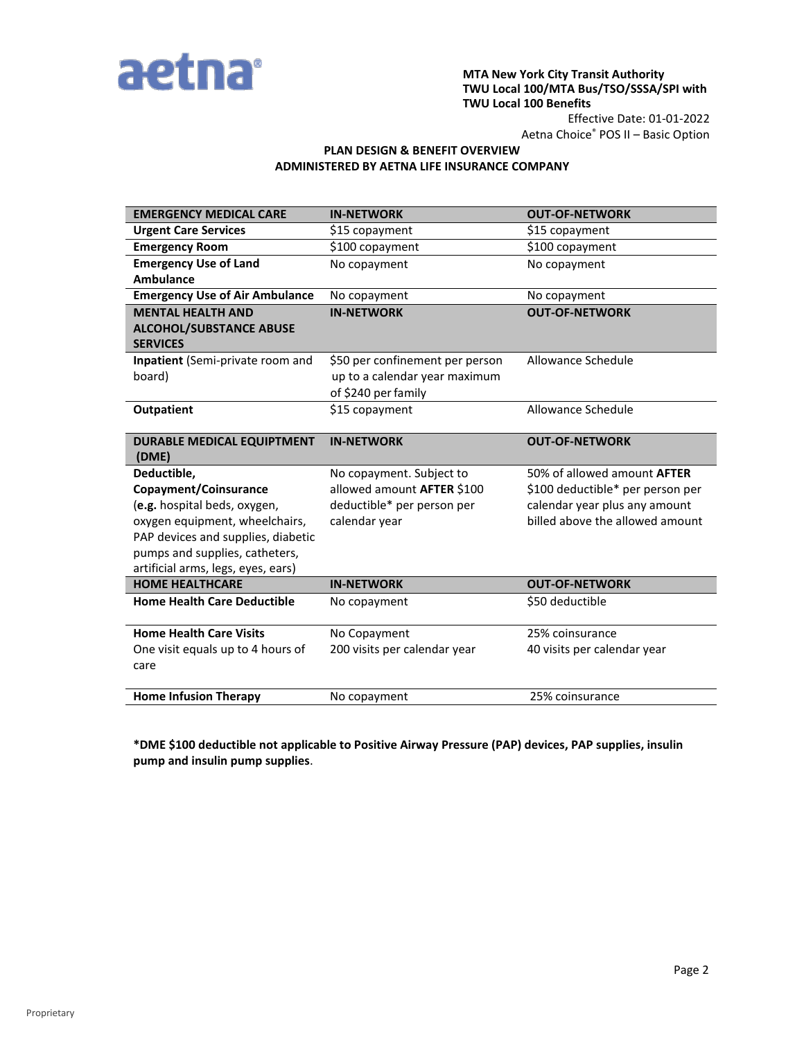

### **MTA New York City Transit Authority TWU Local 100/MTA Bus/TSO/SSSA/SPI with TWU Local 100 Benefits**

Effective Date: 01-01-2022 Aetna Choice® POS II – Basic Option

## **PLAN DESIGN & BENEFIT OVERVIEW ADMINISTERED BY AETNA LIFE INSURANCE COMPANY**

| <b>EMERGENCY MEDICAL CARE</b>                     | <b>IN-NETWORK</b>               | <b>OUT-OF-NETWORK</b>              |
|---------------------------------------------------|---------------------------------|------------------------------------|
| <b>Urgent Care Services</b>                       | \$15 copayment                  | \$15 copayment                     |
| <b>Emergency Room</b>                             | \$100 copayment                 | \$100 copayment                    |
| <b>Emergency Use of Land</b>                      | No copayment                    | No copayment                       |
| <b>Ambulance</b>                                  |                                 |                                    |
| <b>Emergency Use of Air Ambulance</b>             | No copayment                    | No copayment                       |
| <b>MENTAL HEALTH AND</b>                          | <b>IN-NETWORK</b>               | <b>OUT-OF-NETWORK</b>              |
| <b>ALCOHOL/SUBSTANCE ABUSE</b><br><b>SERVICES</b> |                                 |                                    |
| Inpatient (Semi-private room and                  | \$50 per confinement per person | Allowance Schedule                 |
| board)                                            | up to a calendar year maximum   |                                    |
|                                                   | of \$240 per family             |                                    |
| <b>Outpatient</b>                                 | \$15 copayment                  | Allowance Schedule                 |
| <b>DURABLE MEDICAL EQUIPTMENT</b><br>(DME)        | <b>IN-NETWORK</b>               | <b>OUT-OF-NETWORK</b>              |
| Deductible,                                       | No copayment. Subject to        | 50% of allowed amount <b>AFTER</b> |
| Copayment/Coinsurance                             | allowed amount AFTER \$100      | \$100 deductible* per person per   |
| (e.g. hospital beds, oxygen,                      | deductible* per person per      | calendar year plus any amount      |
| oxygen equipment, wheelchairs,                    | calendar year                   | billed above the allowed amount    |
| PAP devices and supplies, diabetic                |                                 |                                    |
| pumps and supplies, catheters,                    |                                 |                                    |
| artificial arms, legs, eyes, ears)                |                                 |                                    |
| <b>HOME HEALTHCARE</b>                            | <b>IN-NETWORK</b>               | <b>OUT-OF-NETWORK</b>              |
| <b>Home Health Care Deductible</b>                | No copayment                    | \$50 deductible                    |
| <b>Home Health Care Visits</b>                    | No Copayment                    | 25% coinsurance                    |
| One visit equals up to 4 hours of                 | 200 visits per calendar year    | 40 visits per calendar year        |
| care                                              |                                 |                                    |
|                                                   |                                 |                                    |
| <b>Home Infusion Therapy</b>                      | No copayment                    | 25% coinsurance                    |

**\*DME \$100 deductible not applicable to Positive Airway Pressure (PAP) devices, PAP supplies, insulin pump and insulin pump supplies**.